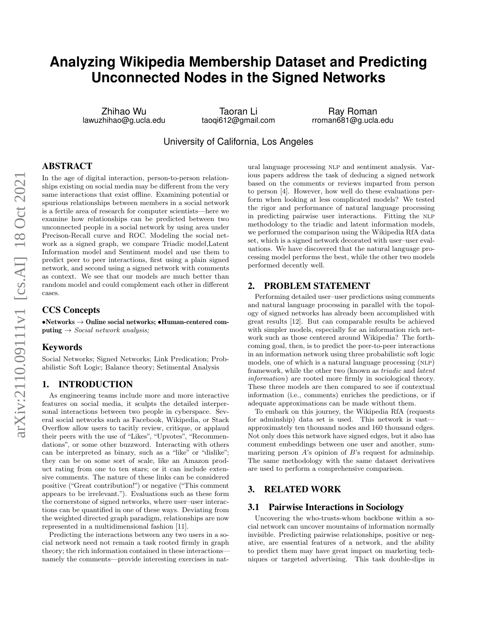# **Analyzing Wikipedia Membership Dataset and Predicting Unconnected Nodes in the Signed Networks**

Zhihao Wu lawuzhihao@g.ucla.edu

Taoran Li taoqi612@gmail.com

Ray Roman rroman681@g.ucla.edu

University of California, Los Angeles

# ABSTRACT

In the age of digital interaction, person-to-person relationships existing on social media may be different from the very same interactions that exist offline. Examining potential or spurious relationships between members in a social network is a fertile area of research for computer scientists—here we examine how relationships can be predicted between two unconnected people in a social network by using area under Precison-Recall curve and ROC. Modeling the social network as a signed graph, we compare Triadic model,Latent Information model and Sentiment model and use them to predict peer to peer interactions, first using a plain signed network, and second using a signed network with comments as context. We see that our models are much better than random model and could complement each other in different cases.

# CCS Concepts

 $\bullet$ Networks  $\rightarrow$  Online social networks;  $\bullet$ Human-centered computing  $\rightarrow$  Social network analysis;

# Keywords

Social Networks; Signed Networks; Link Predication; Probabilistic Soft Logic; Balance theory; Setimental Analysis

# 1. INTRODUCTION

As engineering teams include more and more interactive features on social media, it sculpts the detailed interpersonal interactions between two people in cyberspace. Several social networks such as Facebook, Wikipedia, or Stack Overflow allow users to tacitly review, critique, or applaud their peers with the use of "Likes", "Upvotes", "Recommendations", or some other buzzword. Interacting with others can be interpreted as binary, such as a "like" or "dislike"; they can be on some sort of scale, like an Amazon product rating from one to ten stars; or it can include extensive comments. The nature of these links can be considered positive ("Great contribution!") or negative ("This comment appears to be irrelevant."). Evaluations such as these form the cornerstone of signed networks, where user–user interactions can be quantified in one of these ways. Deviating from the weighted directed graph paradigm, relationships are now represented in a multidimensional fashion [11].

Predicting the interactions between any two users in a social network need not remain a task rooted firmly in graph theory; the rich information contained in these interactions namely the comments—provide interesting exercises in natural language processing NLP and sentiment analysis. Various papers address the task of deducing a signed network based on the comments or reviews imparted from person to person [4]. However, how well do these evaluations perform when looking at less complicated models? We tested the rigor and performance of natural language processing in predicting pairwise user interactions. Fitting the NLP methodology to the triadic and latent information models, we performed the comparison using the Wikipedia RfA data set, which is a signed network decorated with user–user evaluations. We have discovered that the natural language processing model performs the best, while the other two models performed decently well.

# 2. PROBLEM STATEMENT

Performing detailed user–user predictions using comments and natural language processing in parallel with the topology of signed networks has already been accomplished with great results [12]. But can comparable results be achieved with simpler models, especially for an information rich network such as those centered around Wikipedia? The forthcoming goal, then, is to predict the peer-to-peer interactions in an information network using three probabilistic soft logic models, one of which is a natural language processing (NLP) framework, while the other two (known as triadic and latent information) are rooted more firmly in sociological theory. These three models are then compared to see if contextual information (i.e., comments) enriches the predictions, or if adequate approximations can be made without them.

To embark on this journey, the Wikipedia RfA (requests for adminship) data set is used. This network is vast approximately ten thousand nodes and 160 thousand edges. Not only does this network have signed edges, but it also has comment embeddings between one user and another, summarizing person  $A$ 's opinion of  $B$ 's request for adminship. The same methodology with the same dataset derivatives are used to perform a comprehensive comparison.

# 3. RELATED WORK

## 3.1 Pairwise Interactions in Sociology

Uncovering the who-trusts-whom backbone within a social network can uncover mountains of information normally invisible. Predicting pairwise relationships, positive or negative, are essential features of a network, and the ability to predict them may have great impact on marketing techniques or targeted advertising. This task double-dips in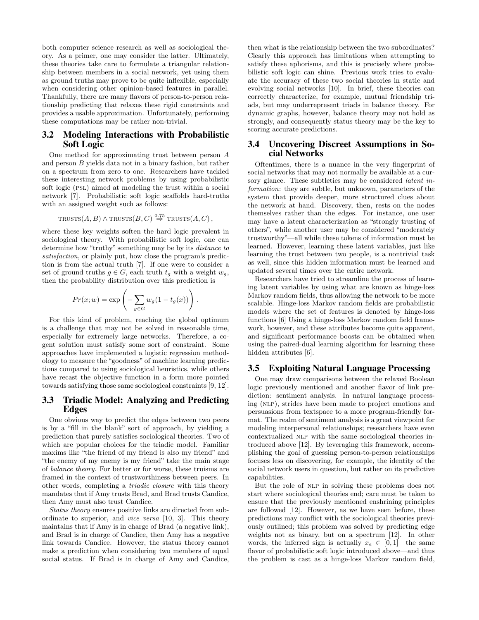both computer science research as well as sociological theory. As a primer, one may consider the latter. Ultimately, these theories take care to formulate a triangular relationship between members in a social network, yet using them as ground truths may prove to be quite inflexible, especially when considering other opinion-based features in parallel. Thankfully, there are many flavors of person-to-person relationship predicting that relaxes these rigid constraints and provides a usable approximation. Unfortunately, performing these computations may be rather non-trivial.

# 3.2 Modeling Interactions with Probabilistic Soft Logic

One method for approximating trust between person A and person B yields data not in a binary fashion, but rather on a spectrum from zero to one. Researchers have tackled these interesting network problems by using probabilistic soft logic (PSL) aimed at modeling the trust within a social network [7]. Probabilistic soft logic scaffolds hard-truths with an assigned weight such as follows:

$$
TRUSTS(A, B) \wedge TRUSTS(B, C) \stackrel{0.75}{\Rightarrow} TRUSTS(A, C),
$$

where these key weights soften the hard logic prevalent in sociological theory. With probabilistic soft logic, one can determine how "truthy" something may be by its distance to satisfaction, or plainly put, how close the program's prediction is from the actual truth [7]. If one were to consider a set of ground truths  $q \in G$ , each truth  $t_q$  with a weight  $w_q$ , then the probability distribution over this prediction is

$$
Pr(x; w) = \exp\left(-\sum_{g \in G} w_g(1 - t_g(x))\right).
$$

For this kind of problem, reaching the global optimum is a challenge that may not be solved in reasonable time, especially for extremely large networks. Therefore, a cogent solution must satisfy some sort of constraint. Some approaches have implemented a logistic regression methodology to measure the "goodness" of machine learning predictions compared to using sociological heuristics, while others have recast the objective function in a form more pointed towards satisfying those same sociological constraints [9, 12].

# 3.3 Triadic Model: Analyzing and Predicting Edges

One obvious way to predict the edges between two peers is by a "fill in the blank" sort of approach, by yielding a prediction that purely satisfies sociological theories. Two of which are popular choices for the triadic model. Familiar maxims like "the friend of my friend is also my friend" and "the enemy of my enemy is my friend" take the main stage of balance theory. For better or for worse, these truisms are framed in the context of trustworthiness between peers. In other words, completing a triadic closure with this theory mandates that if Amy trusts Brad, and Brad trusts Candice, then Amy must also trust Candice.

Status theory ensures positive links are directed from subordinate to superior, and vice versa [10, 3]. This theory maintains that if Amy is in charge of Brad (a negative link), and Brad is in charge of Candice, then Amy has a negative link towards Candice. However, the status theory cannot make a prediction when considering two members of equal social status. If Brad is in charge of Amy and Candice, then what is the relationship between the two subordinates? Clearly this approach has limitations when attempting to satisfy these aphorisms, and this is precisely where probabilistic soft logic can shine. Previous work tries to evaluate the accuracy of these two social theories in static and evolving social networks [10]. In brief, these theories can correctly characterize, for example, mutual friendship triads, but may underrepresent triads in balance theory. For dynamic graphs, however, balance theory may not hold as strongly, and consequently status theory may be the key to scoring accurate predictions.

## 3.4 Uncovering Discreet Assumptions in Social Networks

Oftentimes, there is a nuance in the very fingerprint of social networks that may not normally be available at a cursory glance. These subtleties may be considered *latent in*formation: they are subtle, but unknown, parameters of the system that provide deeper, more structured clues about the network at hand. Discovery, then, rests on the nodes themselves rather than the edges. For instance, one user may have a latent characterization as "strongly trusting of others", while another user may be considered "moderately trustworthy"—all while these tokens of information must be learned. However, learning these latent variables, just like learning the trust between two people, is a nontrivial task as well, since this hidden information must be learned and updated several times over the entire network.

Researchers have tried to streamline the process of learning latent variables by using what are known as hinge-loss Markov random fields, thus allowing the network to be more scalable. Hinge-loss Markov random fields are probabilistic models where the set of features is denoted by hinge-loss functions [6] Using a hinge-loss Markov random field framework, however, and these attributes become quite apparent, and significant performance boosts can be obtained when using the paired-dual learning algorithm for learning these hidden attributes [6].

# 3.5 Exploiting Natural Language Processing

One may draw comparisons between the relaxed Boolean logic previously mentioned and another flavor of link prediction: sentiment analysis. In natural language processing (NLP), strides have been made to project emotions and persuasions from textspace to a more program-friendly format. The realm of sentiment analysis is a great viewpoint for modeling interpersonal relationships; researchers have even contextualized NLP with the same sociological theories introduced above [12]. By leveraging this framework, accomplishing the goal of guessing person-to-person relationships focuses less on discovering, for example, the identity of the social network users in question, but rather on its predictive capabilities.

But the role of NLP in solving these problems does not start where sociological theories end; care must be taken to ensure that the previously mentioned enshrining principles are followed [12]. However, as we have seen before, these predictions may conflict with the sociological theories previously outlined; this problem was solved by predicting edge weights not as binary, but on a spectrum [12]. In other words, the inferred sign is actually  $x_e \in [0, 1]$ —the same flavor of probabilistic soft logic introduced above—and thus the problem is cast as a hinge-loss Markov random field,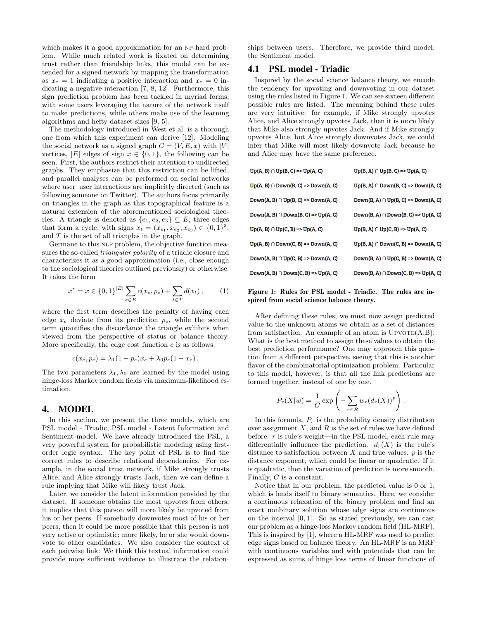which makes it a good approximation for an NP-hard problem. While much related work is fixated on determining trust rather than friendship links, this model can be extended for a signed network by mapping the transformation as  $x_e = 1$  indicating a positive interaction and  $x_e = 0$  indicating a negative interaction [7, 8, 12]. Furthermore, this sign prediction problem has been tackled in myriad forms, with some users leveraging the nature of the network itself to make predictions, while others make use of the learning algorithms and hefty dataset sizes [9, 5].

The methodology introduced in West et al. is a thorough one from which this experiment can derive [12]. Modeling the social network as a signed graph  $G = (V, E, x)$  with |V| vertices,  $|E|$  edges of sign  $x \in \{0,1\}$ , the following can be seen. First, the authors restrict their attention to undirected graphs. They emphasize that this restriction can be lifted, and parallel analyses can be performed on social networks where user–user interactions are implicitly directed (such as following someone on Twitter). The authors focus primarily on triangles in the graph as this topographical feature is a natural extension of the aforementioned sociological theories. A triangle is denoted as  $\{e_1, e_2, e_3\} \subseteq E$ , three edges that form a cycle, with signs  $x_t = (x_{e_1}, x_{e_2}, x_{e_3}) \in \{0, 1\}^3$ , and  $T$  is the set of all triangles in the graph.

Germane to this NLP problem, the objective function measures the so-called triangular polarity of a triadic closure and characterizes it as a good approximation (i.e., close enough to the sociological theories outlined previously) or otherwise. It takes the form

$$
x^* = x \in \{0,1\}^{|E|} \sum_{e \in E} c(x_e, p_e) + \sum_{t \in T} d(x_t), \qquad (1)
$$

where the first term describes the penalty of having each edge  $x_e$  deviate from its prediction  $p_e$ , while the second term quantifies the discordance the triangle exhibits when viewed from the perspective of status or balance theory. More specifically, the edge cost function  $c$  is as follows:

$$
c(x_e, p_e) = \lambda_1 (1 - p_e) x_e + \lambda_0 p_e (1 - x_e).
$$

The two parameters  $\lambda_1, \lambda_0$  are learned by the model using hinge-loss Markov random fields via maximum-likelihood estimation.

## 4. MODEL

In this section, we present the three models, which are PSL model - Triadic, PSL model - Latent Information and Sentiment model. We have already introduced the PSL, a very powerful system for probabilistic modeling using firstorder logic syntax. The key point of PSL is to find the correct rules to describe relational dependencies. For example, in the social trust network, if Mike strongly trusts Alice, and Alice strongly trusts Jack, then we can define a rule implying that Mike will likely trust Jack.

Later, we consider the latent information provided by the dataset. If someone obtains the most upvotes from others, it implies that this person will more likely be upvoted from his or her peers. If somebody downvotes most of his or her peers, then it could be more possible that this person is not very active or optimistic; more likely, he or she would downvote to other candidates. We also consider the context of each pairwise link: We think this textual information could provide more sufficient evidence to illustrate the relationships between users. Therefore, we provide third model: the Sentiment model.

# 4.1 PSL model - Triadic

Inspired by the social science balance theory, we encode the tendency for upvoting and downvoting in our dataset using the rules listed in Figure 1. We can see sixteen different possible rules are listed. The meaning behind these rules are very intuitive: for example, if Mike strongly upvotes Alice, and Alice strongly upvotes Jack, then it is more likely that Mike also strongly upvotes Jack. And if Mike strongly upvotes Alice, but Alice strongly downvotes Jack, we could infer that Mike will most likely downvote Jack because he and Alice may have the same preference.

| $Up(A, B) \cap Up(B, C) \Rightarrow Up(A, C)$     | $Up(B, A) \cap Up(B, C) \Rightarrow Up(A, C)$     |
|---------------------------------------------------|---------------------------------------------------|
| $Up(A, B) \cap Down(B, C) \implies Down(A, C)$    | $Up(B, A) \cap Down(B, C) \implies Down(A, C)$    |
| $Down(A, B) \cap Up(B, C) \implies Down(A, C)$    | $Down(B, A) \cap Up(B, C) \implies Down(A, C)$    |
| $Down(A, B) \cap Down(B, C) \implies Up(A, C)$    | $Down(B, A) \cap Down(B, C) \Rightarrow Up(A, C)$ |
| $Up(A, B) \cap Up(C, B) \Rightarrow Up(A, C)$     | $Up(B, A) \cap Up(C, B) \Rightarrow Up(A, C)$     |
| $Up(A, B) \cap Down(C, B) \Rightarrow Down(A, C)$ | $Up(B, A) \cap Down(C, B) \Rightarrow Down(A, C)$ |
| $Down(A, B) \cap Up(C, B) \Rightarrow Down(A, C)$ | $Down(B, A) \cap Up(C, B) \implies Down(A, C)$    |
| $Down(A, B) \cap Down(C, B) \Rightarrow Up(A, C)$ | $Down(B, A) \cap Down(C, B) \Rightarrow Up(A, C)$ |

Figure 1: Rules for PSL model - Triadic. The rules are inspired from social science balance theory.

After defining these rules, we must now assign predicted value to the unknown atoms we obtain as a set of distances from satisfaction. An example of an atom is  $UPVOTE(A,B)$ . What is the best method to assign these values to obtain the best prediction performance? One may approach this question from a different perspective, seeing that this is another flavor of the combinatorial optimization problem. Particular to this model, however, is that all the link predictions are formed together, instead of one by one.

$$
P_r(X|w) = \frac{1}{C} \exp\left(-\sum_{r \in R} w_r (d_r(X))^p\right)
$$

.

In this formula,  $P_r$  is the probability density distribution over assignment  $X$ , and  $R$  is the set of rules we have defined before.  $r$  is rule's weight—in the PSL model, each rule may differentially influence the prediction.  $d_r(X)$  is the rule's distance to satisfaction between  $X$  and true values.  $p$  is the distance exponent, which could be linear or quadratic. If it is quadratic, then the variation of prediction is more smooth. Finally, C is a constant.

Notice that in our problem, the predicted value is 0 or 1, which is lends itself to binary semantics. Here, we consider a continuous relaxation of the binary problem and find an exact nonbinary solution whose edge signs are continuous on the interval  $[0, 1]$ . So as stated previously, we can cast our problem as a hinge-loss Markov random field (HL-MRF). This is inspired by [1], where a HL-MRF was used to predict edge signs based on balance theory. An HL-MRF is an MRF with continuous variables and with potentials that can be expressed as sums of hinge loss terms of linear functions of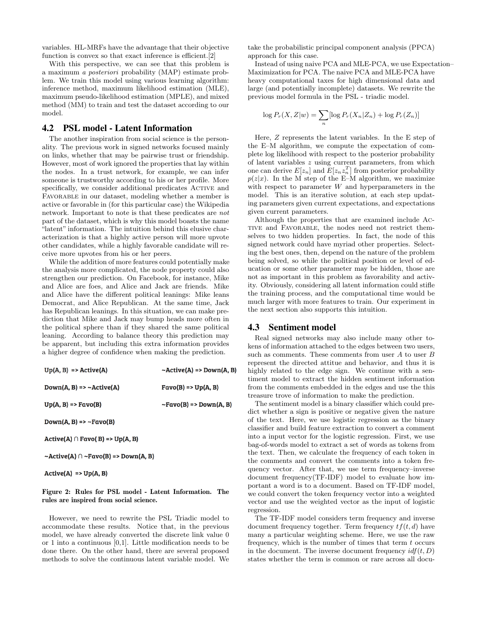variables. HL-MRFs have the advantage that their objective function is convex so that exact inference is efficient. [2]

With this perspective, we can see that this problem is a maximum a posteriori probability (MAP) estimate problem. We train this model using various learning algorithm: inference method, maximum likelihood estimation (MLE), maximum pseudo-likelihood estimation (MPLE), and mixed method (MM) to train and test the dataset according to our model.

## 4.2 PSL model - Latent Information

The another inspiration from social science is the personality. The previous work in signed networks focused mainly on links, whether that may be pairwise trust or friendship. However, most of work ignored the properties that lay within the nodes. In a trust network, for example, we can infer someone is trustworthy according to his or her profile. More specifically, we consider additional predicates ACTIVE and FAVORABLE in our dataset, modeling whether a member is active or favorable in (for this particular case) the Wikipedia network. Important to note is that these predicates are not part of the dataset, which is why this model boasts the name "latent" information. The intuition behind this elusive characterization is that a highly active person will more upvote other candidates, while a highly favorable candidate will receive more upvotes from his or her peers.

While the addition of more features could potentially make the analysis more complicated, the node property could also strengthen our prediction. On Facebook, for instance, Mike and Alice are foes, and Alice and Jack are friends. Mike and Alice have the different political leanings: Mike leans Democrat, and Alice Republican. At the same time, Jack has Republican leanings. In this situation, we can make prediction that Mike and Jack may bump heads more often in the political sphere than if they shared the same political leaning. According to balance theory this prediction may be apparent, but including this extra information provides a higher degree of confidence when making the prediction.

| $Up(A, B)$ => $Active(A)$                          | $\sim$ Active(A) => Down(A, B) |
|----------------------------------------------------|--------------------------------|
| $Down(A, B) \Rightarrow \sim Active(A)$            | $Favo(B)$ => $Up(A, B)$        |
| $Up(A, B) \Rightarrow Favo(B)$                     | $\sim$ Favo(B) => Down(A, B)   |
| $Down(A, B) \Rightarrow \neg Favo(B)$              |                                |
| $Active(A) \cap Favo(B) \implies Up(A, B)$         |                                |
| $\sim$ Active(A) $\cap \sim$ Favo(B) => Down(A, B) |                                |

 $Active(A)$  =>  $Up(A, B)$ 

#### Figure 2: Rules for PSL model - Latent Information. The rules are inspired from social science.

However, we need to rewrite the PSL Triadic model to accommodate these results. Notice that, in the previous model, we have already converted the discrete link value 0 or 1 into a continuous [0,1]. Little modification needs to be done there. On the other hand, there are several proposed methods to solve the continuous latent variable model. We take the probabilistic principal component analysis (PPCA) approach for this case.

Instead of using naive PCA and MLE-PCA, we use Expectation– Maximization for PCA. The naive PCA and MLE-PCA have heavy computational taxes for high dimensional data and large (and potentially incomplete) datasets. We rewrite the previous model formula in the PSL - triadic model.

$$
\log P_r(X, Z|w) = \sum_n [\log P_r(X_n|Z_n) + \log P_r(Z_n)]
$$

Here, Z represents the latent variables. In the E step of the E–M algorithm, we compute the expectation of complete log likelihood with respect to the posterior probability of latent variables z using current parameters, from which one can derive  $E[z_n]$  and  $E[z_n z_n^T]$  from posterior probability  $p(z|x)$ . In the M step of the E–M algorithm, we maximize with respect to parameter  $W$  and hyperparameters in the model. This is an iterative solution, at each step updating parameters given current expectations, and expectations given current parameters.

Although the properties that are examined include Ac-TIVE and FAVORABLE, the nodes need not restrict themselves to two hidden properties. In fact, the node of this signed network could have myriad other properties. Selecting the best ones, then, depend on the nature of the problem being solved, so while the political position or level of education or some other parameter may be hidden, those are not as important in this problem as favorability and activity. Obviously, considering all latent information could stifle the training process, and the computational time would be much larger with more features to train. Our experiment in the next section also supports this intuition.

#### 4.3 Sentiment model

Real signed networks may also include many other tokens of information attached to the edges between two users, such as comments. These comments from user A to user B represent the directed attitue and behavior, and thus it is highly related to the edge sign. We continue with a sentiment model to extract the hidden sentiment information from the comments embedded in the edges and use the this treasure trove of information to make the prediction.

The sentiment model is a binary classifier which could predict whether a sign is positive or negative given the nature of the text. Here, we use logistic regression as the binary classifier and build feature extraction to convert a comment into a input vector for the logistic regression. First, we use bag-of-words model to extract a set of words as tokens from the text. Then, we calculate the frequency of each token in the comments and convert the comments into a token frequency vector. After that, we use term frequency–inverse document frequency(TF-IDF) model to evaluate how important a word is to a document. Based on TF-IDF model, we could convert the token frequency vector into a weighted vector and use the weighted vector as the input of logistic regression.

The TF-IDF model considers term frequency and inverse document frequency together. Term frequency  $tf(t, d)$  have many a particular weighting scheme. Here, we use the raw frequency, which is the number of times that term  $t$  occurs in the document. The inverse document frequency  $\textit{id} f(t, D)$ states whether the term is common or rare across all docu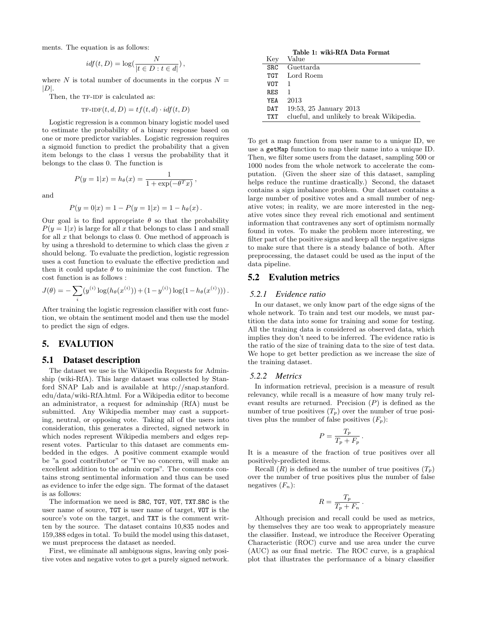ments. The equation is as follows:

$$
idf(t, D) = \log(\frac{N}{|t \in D : t \in d|}),
$$

where N is total number of documents in the corpus  $N =$  $|D|$ .

Then, the TF-IDF is calculated as:

$$
TF-IDF(t, d, D) = tf(t, d) \cdot idf(t, D)
$$

Logistic regression is a common binary logistic model used to estimate the probability of a binary response based on one or more predictor variables. Logistic regression requires a sigmoid function to predict the probability that a given item belongs to the class 1 versus the probability that it belongs to the class 0. The function is

$$
P(y = 1|x) = h_{\theta}(x) = \frac{1}{1 + \exp(-\theta^T x)}
$$

,

and

$$
P(y = 0|x) = 1 - P(y = 1|x) = 1 - h_{\theta}(x).
$$

Our goal is to find appropriate  $\theta$  so that the probability  $P(y = 1|x)$  is large for all x that belongs to class 1 and small for all  $x$  that belongs to class 0. One method of approach is by using a threshold to determine to which class the given  $x$ should belong. To evaluate the prediction, logistic regression uses a cost function to evaluate the effective prediction and then it could update  $\theta$  to minimize the cost function. The cost function is as follows :

$$
J(\theta) = -\sum_{i} (y^{(i)} \log(h_{\theta}(x^{(i)})) + (1 - y^{(i)}) \log(1 - h_{\theta}(x^{(i)}))).
$$

After training the logistic regression classifier with cost function, we obtain the sentiment model and then use the model to predict the sign of edges.

# 5. EVALUTION

## 5.1 Dataset description

The dataset we use is the Wikipedia Requests for Adminship (wiki-RfA). This large dataset was collected by Stanford SNAP Lab and is available at http://snap.stanford. edu/data/wiki-RfA.html. For a Wikipedia editor to become an administrator, a request for adminship (RfA) must be submitted. Any Wikipedia member may cast a supporting, neutral, or opposing vote. Taking all of the users into consideration, this generates a directed, signed network in which nodes represent Wikipedia members and edges represent votes. Particular to this dataset are comments embedded in the edges. A positive comment example would be "a good contributor" or "I've no concern, will make an excellent addition to the admin corps". The comments contains strong sentimental information and thus can be used as evidence to infer the edge sign. The format of the dataset is as follows:

The information we need is SRC, TGT, VOT, TXT.SRC is the user name of source, TGT is user name of target, VOT is the source's vote on the target, and TXT is the comment written by the source. The dataset contains 10,835 nodes and 159,388 edges in total. To build the model using this dataset, we must preprocess the dataset as needed.

First, we eliminate all ambiguous signs, leaving only positive votes and negative votes to get a purely signed network.

Table 1: wiki-RfA Data Format  $K_{\text{ev}}$  Value

| <b>TZEA</b> | v alue                                    |
|-------------|-------------------------------------------|
| SRC         | Guettarda                                 |
| TGT         | Lord Roem                                 |
| VOT         |                                           |
| RES         |                                           |
| YEA         | 2013                                      |
| DAT         | 19:53, 25 January 2013                    |
| TXT         | clueful, and unlikely to break Wikipedia. |
|             |                                           |

To get a map function from user name to a unique ID, we use a getMap function to map their name into a unique ID. Then, we filter some users from the dataset, sampling 500 or 1000 nodes from the whole network to accelerate the computation. (Given the sheer size of this dataset, sampling helps reduce the runtime drastically.) Second, the dataset contains a sign imbalance problem. Our dataset contains a large number of positive votes and a small number of negative votes; in reality, we are more interested in the negative votes since they reveal rich emotional and sentiment information that contravenes any sort of optimism normally found in votes. To make the problem more interesting, we filter part of the positive signs and keep all the negative signs to make sure that there is a steady balance of both. After preprocessing, the dataset could be used as the input of the data pipeline.

## 5.2 Evalution metrics

#### *5.2.1 Evidence ratio*

In our dataset, we only know part of the edge signs of the whole network. To train and test our models, we must partition the data into some for training and some for testing. All the training data is considered as observed data, which implies they don't need to be inferred. The evidence ratio is the ratio of the size of training data to the size of test data. We hope to get better prediction as we increase the size of the training dataset.

#### *5.2.2 Metrics*

In information retrieval, precision is a measure of result relevancy, while recall is a measure of how many truly relevant results are returned. Precision  $(P)$  is defined as the number of true positives  $(T_p)$  over the number of true positives plus the number of false positives  $(F_n)$ :

$$
P = \frac{T_p}{T_p + F_p} \, .
$$

It is a measure of the fraction of true positives over all positively-predicted items.

Recall  $(R)$  is defined as the number of true positives  $(T_p)$ over the number of true positives plus the number of false negatives  $(F_n)$ :

$$
R = \frac{T_p}{T_p + F_n} \, .
$$

Although precision and recall could be used as metrics, by themselves they are too weak to appropriately measure the classifier. Instead, we introduce the Receiver Operating Characteristic (ROC) curve and use area under the curve (AUC) as our final metric. The ROC curve, is a graphical plot that illustrates the performance of a binary classifier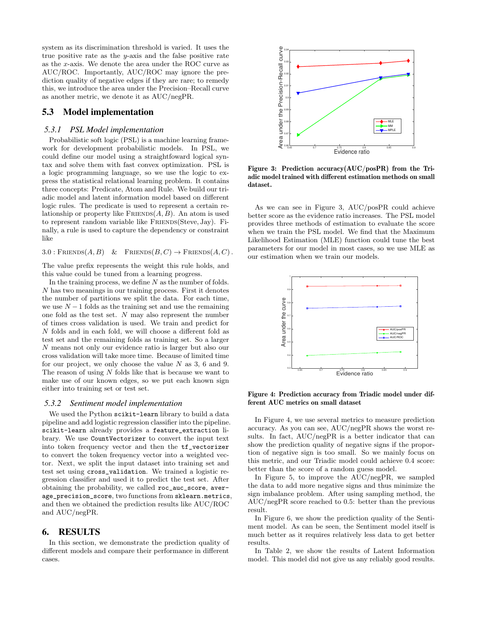system as its discrimination threshold is varied. It uses the true positive rate as the  $y$ -axis and the false positive rate as the x-axis. We denote the area under the ROC curve as AUC/ROC. Importantly, AUC/ROC may ignore the prediction quality of negative edges if they are rare; to remedy this, we introduce the area under the Precision–Recall curve as another metric, we denote it as AUC/negPR.

# 5.3 Model implementation

#### *5.3.1 PSL Model implementation*

Probabilistic soft logic (PSL) is a machine learning framework for development probabilistic models. In PSL, we could define our model using a straightfoward logical syntax and solve them with fast convex optimization. PSL is a logic programming language, so we use the logic to express the statistical relational learning problem. It contains three concepts: Predicate, Atom and Rule. We build our triadic model and latent information model based on different logic rules. The predicate is used to represent a certain relationship or property like  $F$ RIENDS $(A, B)$ . An atom is used to represent random variable like FRIENDS(Steve, Jay). Finally, a rule is used to capture the dependency or constraint like

 $3.0 : \text{FRIENDS}(A, B) \& \text{FRIENDS}(B, C) \rightarrow \text{FRIENDS}(A, C)$ .

The value prefix represents the weight this rule holds, and this value could be tuned from a learning progress.

In the training process, we define  $N$  as the number of folds.  $\boldsymbol{N}$  has two meanings in our training process. First it denotes the number of partitions we split the data. For each time, we use  $N-1$  folds as the training set and use the remaining one fold as the test set. N may also represent the number of times cross validation is used. We train and predict for  $N$  folds and in each fold, we will choose a different fold as test set and the remaining folds as training set. So a larger N means not only our evidence ratio is larger but also our cross validation will take more time. Because of limited time for our project, we only choose the value  $N$  as 3, 6 and 9. The reason of using N folds like that is because we want to make use of our known edges, so we put each known sign either into training set or test set.

#### *5.3.2 Sentiment model implementation*

We used the Python scikit-learn library to build a data pipeline and add logistic regression classifier into the pipeline. scikit-learn already provides a feature\_extraction library. We use CountVectorizer to convert the input text into token frequency vector and then the tf\_vectorizer to convert the token frequency vector into a weighted vector. Next, we split the input dataset into training set and test set using cross\_validation. We trained a logistic regression classifier and used it to predict the test set. After obtaining the probability, we called roc\_auc\_score, average\_precision\_score, two functions from sklearn.metrics, and then we obtained the prediction results like AUC/ROC and AUC/negPR.

## 6. RESULTS

In this section, we demonstrate the prediction quality of different models and compare their performance in different cases.



Figure 3: Prediction accuracy(AUC/posPR) from the Triadic model trained with different estimation methods on small dataset.

As we can see in Figure 3, AUC/posPR could achieve better score as the evidence ratio increases. The PSL model provides three methods of estimation to evaluate the score when we train the PSL model. We find that the Maximum Likelihood Estimation (MLE) function could tune the best parameters for our model in most cases, so we use MLE as our estimation when we train our models.



Figure 4: Prediction accuracy from Triadic model under different AUC metrics on small dataset

In Figure 4, we use several metrics to measure prediction accuracy. As you can see, AUC/negPR shows the worst results. In fact, AUC/negPR is a better indicator that can show the prediction quality of negative signs if the proportion of negative sign is too small. So we mainly focus on this metric, and our Triadic model could achieve 0.4 score: better than the score of a random guess model.

In Figure 5, to improve the AUC/negPR, we sampled the data to add more negative signs and thus minimize the sign imbalance problem. After using sampling method, the AUC/negPR score reached to 0.5: better than the previous result.

In Figure 6, we show the prediction quality of the Sentiment model. As can be seen, the Sentiment model itself is much better as it requires relatively less data to get better results.

In Table 2, we show the results of Latent Information model. This model did not give us any reliably good results.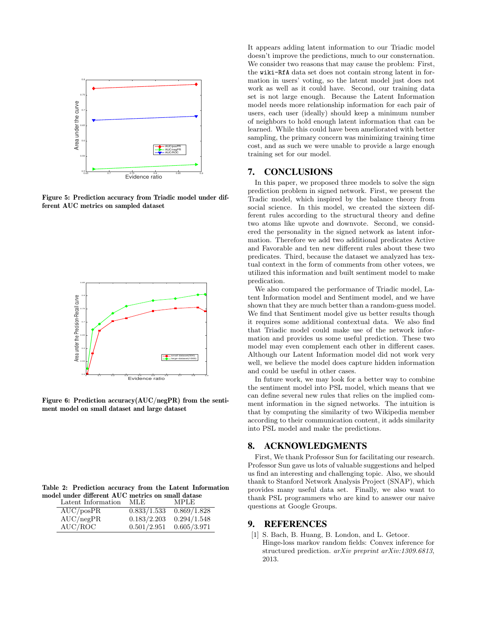

Figure 5: Prediction accuracy from Triadic model under different AUC metrics on sampled dataset



Figure 6: Prediction accuracy(AUC/negPR) from the sentiment model on small dataset and large dataset

|  |  |  |  |                                                                                                                                      | Table 2: Prediction accuracy from the Latent Information |
|--|--|--|--|--------------------------------------------------------------------------------------------------------------------------------------|----------------------------------------------------------|
|  |  |  |  | model under different AUC metrics on small datase                                                                                    |                                                          |
|  |  |  |  | $\mathbf{r}$ , $\mathbf{r}$ , $\mathbf{r}$ , $\mathbf{r}$ , $\mathbf{r}$ , $\mathbf{r}$ , $\mathbf{r}$ , $\mathbf{r}$ , $\mathbf{r}$ |                                                          |

| Latent Information | MLE.        | <b>MPLE</b> |
|--------------------|-------------|-------------|
| AUC/posPR          | 0.833/1.533 | 0.869/1.828 |
| AUC/negPR          | 0.183/2.203 | 0.294/1.548 |
| AUC/ROC            | 0.501/2.951 | 0.605/3.971 |

It appears adding latent information to our Triadic model doesn't improve the predictions, much to our consternation. We consider two reasons that may cause the problem: First, the wiki-RfA data set does not contain strong latent in formation in users' voting, so the latent model just does not work as well as it could have. Second, our training data set is not large enough. Because the Latent Information model needs more relationship information for each pair of users, each user (ideally) should keep a minimum number of neighbors to hold enough latent information that can be learned. While this could have been ameliorated with better sampling, the primary concern was minimizing training time cost, and as such we were unable to provide a large enough training set for our model.

# 7. CONCLUSIONS

In this paper, we proposed three models to solve the sign prediction problem in signed network. First, we present the Tradic model, which inspired by the balance theory from social science. In this model, we created the sixteen different rules according to the structural theory and define two atoms like upvote and downvote. Second, we considered the personality in the signed network as latent information. Therefore we add two additional predicates Active and Favorable and ten new different rules about these two predicates. Third, because the dataset we analyzed has textual context in the form of comments from other votees, we utilized this information and built sentiment model to make predication.

We also compared the performance of Triadic model, Latent Information model and Sentiment model, and we have shown that they are much better than a random-guess model. We find that Sentiment model give us better results though it requires some additional contextual data. We also find that Triadic model could make use of the network information and provides us some useful prediction. These two model may even complement each other in different cases. Although our Latent Information model did not work very well, we believe the model does capture hidden information and could be useful in other cases.

In future work, we may look for a better way to combine the sentiment model into PSL model, which means that we can define several new rules that relies on the implied comment information in the signed networks. The intuition is that by computing the similarity of two Wikipedia member according to their communication content, it adds similarity into PSL model and make the predictions.

#### 8. ACKNOWLEDGMENTS

First, We thank Professor Sun for facilitating our research. Professor Sun gave us lots of valuable suggestions and helped us find an interesting and challenging topic. Also, we should thank to Stanford Network Analysis Project (SNAP), which provides many useful data set. Finally, we also want to thank PSL programmers who are kind to answer our naive questions at Google Groups.

# 9. REFERENCES

[1] S. Bach, B. Huang, B. London, and L. Getoor. Hinge-loss markov random fields: Convex inference for structured prediction. arXiv preprint arXiv:1309.6813, 2013.